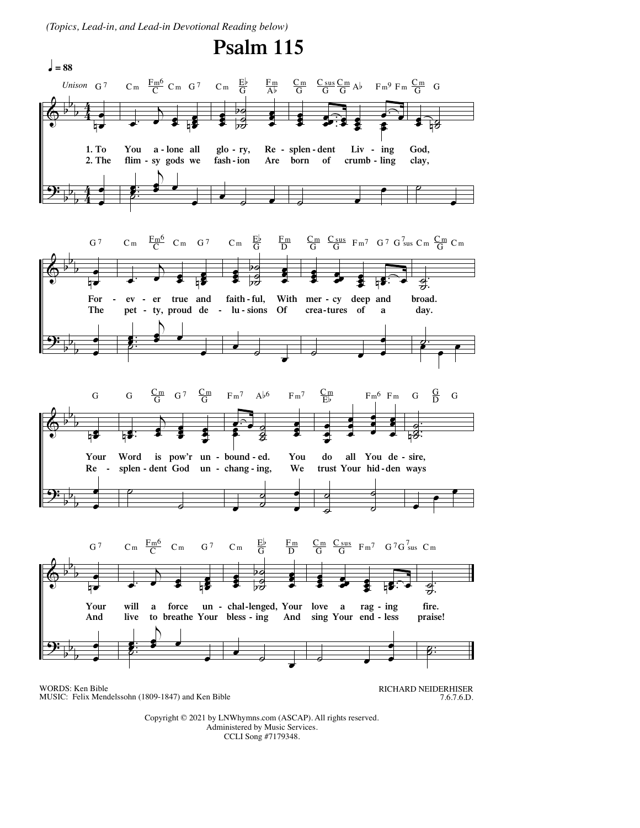*(Topics, Lead-in, and Lead-in Devotional Reading below)*



WORDS: Ken Bible MUSIC: Felix Mendelssohn (1809-1847) and Ken Bible RICHARD NEIDERHISER 7.6.7.6.D.

Copyright © 2021 by LNWhymns.com (ASCAP). All rights reserved. Administered by Music Services. CCLI Song #7179348.